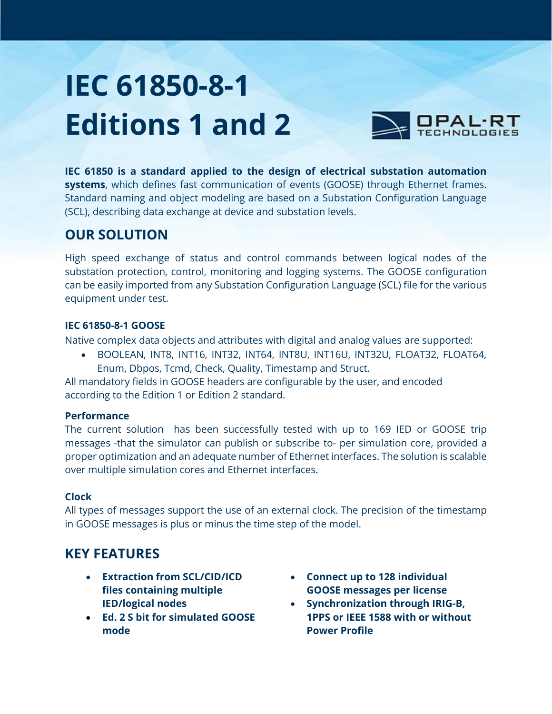# **IEC 61850-8-1 Editions 1 and 2**



**IEC 61850 is a standard applied to the design of electrical substation automation systems**, which defines fast communication of events (GOOSE) through Ethernet frames. Standard naming and object modeling are based on a Substation Configuration Language (SCL), describing data exchange at device and substation levels.

## **OUR SOLUTION**

High speed exchange of status and control commands between logical nodes of the substation protection, control, monitoring and logging systems. The GOOSE configuration can be easily imported from any Substation Configuration Language (SCL) file for the various equipment under test.

#### **IEC 61850-8-1 GOOSE**

Native complex data objects and attributes with digital and analog values are supported:

 BOOLEAN, INT8, INT16, INT32, INT64, INT8U, INT16U, INT32U, FLOAT32, FLOAT64, Enum, Dbpos, Tcmd, Check, Quality, Timestamp and Struct.

All mandatory fields in GOOSE headers are configurable by the user, and encoded according to the Edition 1 or Edition 2 standard.

#### **Performance**

The current solution has been successfully tested with up to 169 IED or GOOSE trip messages -that the simulator can publish or subscribe to- per simulation core, provided a proper optimization and an adequate number of Ethernet interfaces. The solution is scalable over multiple simulation cores and Ethernet interfaces.

#### **Clock**

All types of messages support the use of an external clock. The precision of the timestamp in GOOSE messages is plus or minus the time step of the model.

# **KEY FEATURES**

- **Extraction from SCL/CID/ICD files containing multiple IED/logical nodes**
- **Ed. 2 S bit for simulated GOOSE mode**
- **Connect up to 128 individual GOOSE messages per license**
- **Synchronization through IRIG-B, 1PPS or IEEE 1588 with or without Power Profile**